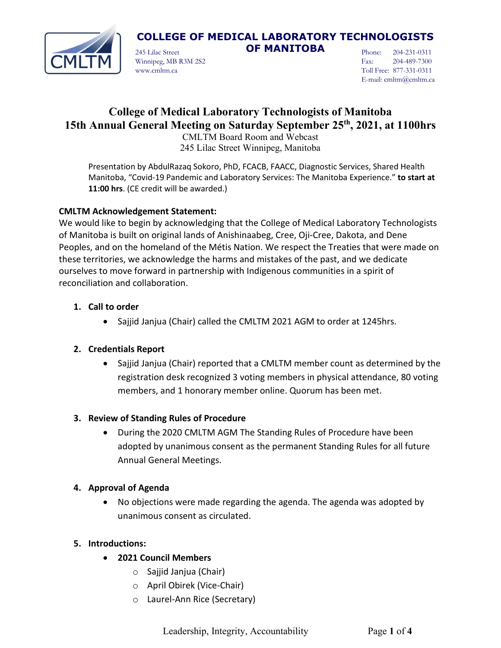

245 Lilac Street **OF MANITOBA** Winnipeg, MB R3M 2S2 www.cmltm.ca

Phone: 204-231-0311 Fax: 204-489-7300 Toll Free: 877-331-0311 E-mail: cmltm@cmltm.ca

# **College of Medical Laboratory Technologists of Manitoba 15th Annual General Meeting on Saturday September 25th , 2021, at 1100hrs**

CMLTM Board Room and Webcast 245 Lilac Street Winnipeg, Manitoba

Presentation by AbdulRazaq Sokoro, PhD, FCACB, FAACC, Diagnostic Services, Shared Health Manitoba, "Covid-19 Pandemic and Laboratory Services: The Manitoba Experience." **to start at 11:00 hrs**. (CE credit will be awarded.)

# **CMLTM Acknowledgement Statement:**

We would like to begin by acknowledging that the College of Medical Laboratory Technologists of Manitoba is built on original lands of Anishinaabeg, Cree, Oji-Cree, Dakota, and Dene Peoples, and on the homeland of the Métis Nation. We respect the Treaties that were made on these territories, we acknowledge the harms and mistakes of the past, and we dedicate ourselves to move forward in partnership with Indigenous communities in a spirit of reconciliation and collaboration.

#### **1. Call to order**

• Sajjid Janjua (Chair) called the CMLTM 2021 AGM to order at 1245hrs.

# **2. Credentials Report**

• Sajjid Janjua (Chair) reported that a CMLTM member count as determined by the registration desk recognized 3 voting members in physical attendance, 80 voting members, and 1 honorary member online. Quorum has been met.

# **3. Review of Standing Rules of Procedure**

• During the 2020 CMLTM AGM The Standing Rules of Procedure have been adopted by unanimous consent as the permanent Standing Rules for all future Annual General Meetings.

# **4. Approval of Agenda**

• No objections were made regarding the agenda. The agenda was adopted by unanimous consent as circulated.

# **5. Introductions:**

- **2021 Council Members**
	- o Sajjid Janjua (Chair)
	- o April Obirek (Vice-Chair)
	- o Laurel-Ann Rice (Secretary)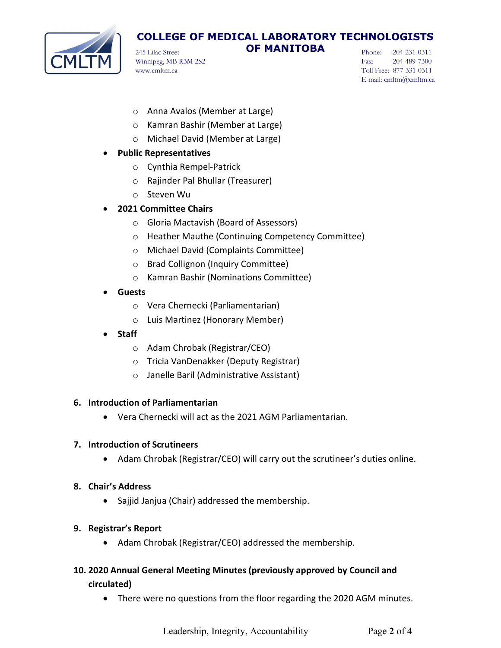

245 Lilac Street **OF MANITOBA** Winnipeg, MB R3M 2S2 www.cmltm.ca

Phone: 204-231-0311 Fax: 204-489-7300 Toll Free: 877-331-0311 E-mail: cmltm@cmltm.ca

- o Anna Avalos (Member at Large)
- o Kamran Bashir (Member at Large)
- o Michael David (Member at Large)

#### • **Public Representatives**

- o Cynthia Rempel-Patrick
- o Rajinder Pal Bhullar (Treasurer)
- o Steven Wu
- **2021 Committee Chairs**
	- o Gloria Mactavish (Board of Assessors)
	- o Heather Mauthe (Continuing Competency Committee)
	- o Michael David (Complaints Committee)
	- o Brad Collignon (Inquiry Committee)
	- o Kamran Bashir (Nominations Committee)
- **Guests**
	- o Vera Chernecki (Parliamentarian)
	- o Luis Martinez (Honorary Member)
- **Staff**
	- o Adam Chrobak (Registrar/CEO)
	- o Tricia VanDenakker (Deputy Registrar)
	- o Janelle Baril (Administrative Assistant)

#### **6. Introduction of Parliamentarian**

• Vera Chernecki will act as the 2021 AGM Parliamentarian.

#### **7. Introduction of Scrutineers**

- Adam Chrobak (Registrar/CEO) will carry out the scrutineer's duties online.
- **8. Chair's Address**
	- Sajjid Janjua (Chair) addressed the membership.
- **9. Registrar's Report**
	- Adam Chrobak (Registrar/CEO) addressed the membership.
- **10. 2020 Annual General Meeting Minutes (previously approved by Council and circulated)**
	- There were no questions from the floor regarding the 2020 AGM minutes.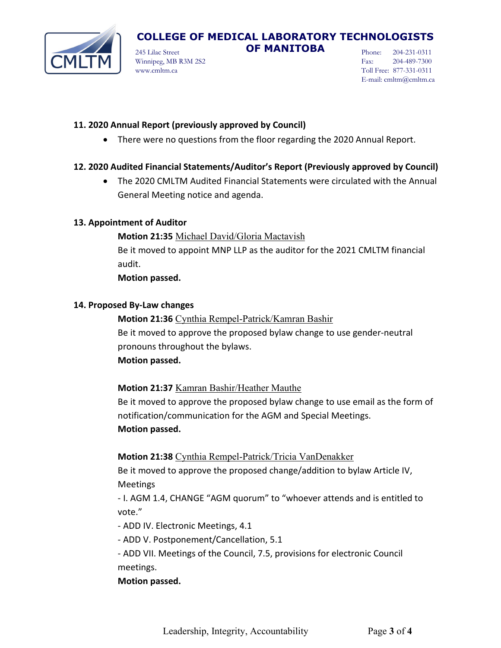

245 Lilac Street **OF MANITOBA** Winnipeg, MB R3M 2S2 www.cmltm.ca

Phone: 204-231-0311 Fax: 204-489-7300 Toll Free: 877-331-0311 E-mail: cmltm@cmltm.ca

#### **11. 2020 Annual Report (previously approved by Council)**

• There were no questions from the floor regarding the 2020 Annual Report.

#### **12. 2020 Audited Financial Statements/Auditor's Report (Previously approved by Council)**

• The 2020 CMLTM Audited Financial Statements were circulated with the Annual General Meeting notice and agenda.

#### **13. Appointment of Auditor**

**Motion 21:35** Michael David/Gloria Mactavish Be it moved to appoint MNP LLP as the auditor for the 2021 CMLTM financial audit.

**Motion passed.**

#### **14. Proposed By-Law changes**

**Motion 21:36** Cynthia Rempel-Patrick/Kamran Bashir Be it moved to approve the proposed bylaw change to use gender-neutral pronouns throughout the bylaws. **Motion passed.**

#### **Motion 21:37** Kamran Bashir/Heather Mauthe

Be it moved to approve the proposed bylaw change to use email as the form of notification/communication for the AGM and Special Meetings. **Motion passed.**

#### **Motion 21:38** Cynthia Rempel-Patrick/Tricia VanDenakker

Be it moved to approve the proposed change/addition to bylaw Article IV, Meetings

- I. AGM 1.4, CHANGE "AGM quorum" to "whoever attends and is entitled to vote."

- ADD IV. Electronic Meetings, 4.1

- ADD V. Postponement/Cancellation, 5.1

- ADD VII. Meetings of the Council, 7.5, provisions for electronic Council meetings.

#### **Motion passed.**